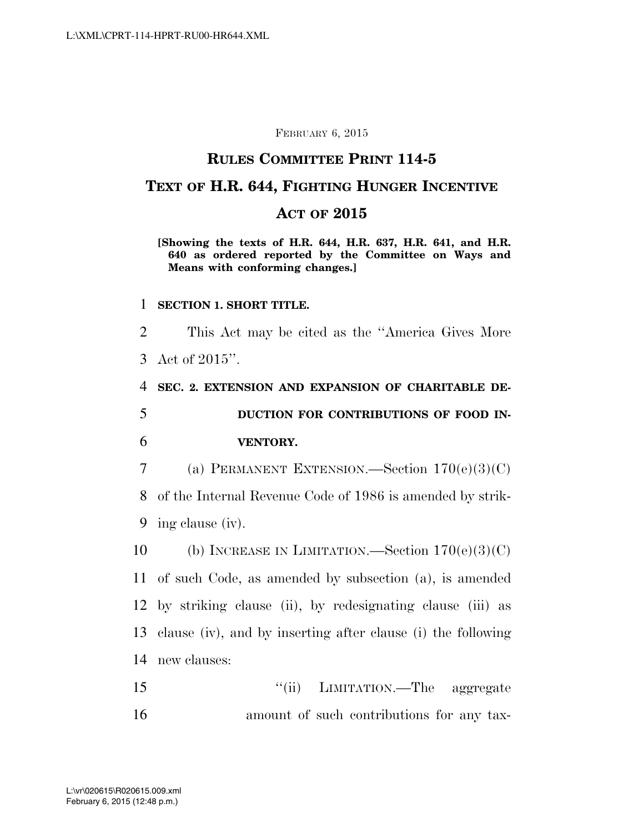#### FEBRUARY 6, 2015

## **RULES COMMITTEE PRINT 114-5**

# **TEXT OF H.R. 644, FIGHTING HUNGER INCENTIVE**

## **ACT OF 2015**

#### **[Showing the texts of H.R. 644, H.R. 637, H.R. 641, and H.R. 640 as ordered reported by the Committee on Ways and Means with conforming changes.]**

#### 1 **SECTION 1. SHORT TITLE.**

2 This Act may be cited as the ''America Gives More 3 Act of 2015''.

4 **SEC. 2. EXTENSION AND EXPANSION OF CHARITABLE DE-**5 **DUCTION FOR CONTRIBUTIONS OF FOOD IN-**6 **VENTORY.** 

7 (a) PERMANENT EXTENSION.—Section  $170(e)(3)(C)$ 8 of the Internal Revenue Code of 1986 is amended by strik-9 ing clause (iv).

10 (b) INCREASE IN LIMITATION.—Section  $170(e)(3)(C)$  of such Code, as amended by subsection (a), is amended by striking clause (ii), by redesignating clause (iii) as clause (iv), and by inserting after clause (i) the following new clauses:

15 ''(ii) LIMITATION.—The aggregate 16 amount of such contributions for any tax-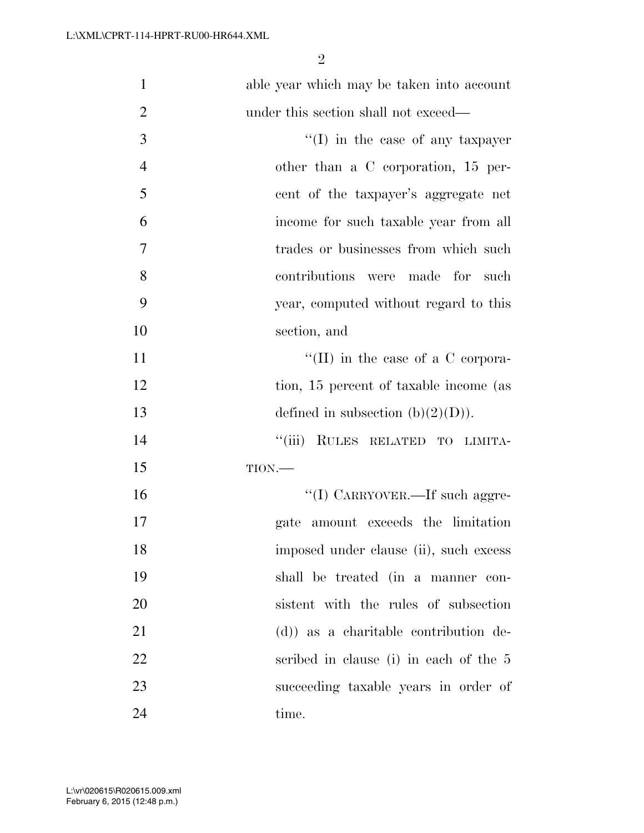| $\mathbf{1}$   | able year which may be taken into account |
|----------------|-------------------------------------------|
| $\overline{2}$ | under this section shall not exceed—      |
| 3              | $\lq\lq$ (I) in the case of any taxpayer  |
| $\overline{4}$ | other than a C corporation, 15 per-       |
| 5              | cent of the taxpayer's aggregate net      |
| 6              | income for such taxable year from all     |
| $\tau$         | trades or businesses from which such      |
| 8              | contributions<br>were made for<br>such    |
| 9              | year, computed without regard to this     |
| 10             | section, and                              |
| 11             | "(II) in the case of a C corpora-         |
| 12             | tion, 15 percent of taxable income (as    |
| 13             | defined in subsection $(b)(2)(D)$ .       |
| 14             | ``(iii)<br>RULES RELATED TO LIMITA-       |
| 15             | TION.                                     |
| 16             | "(I) CARRYOVER.—If such aggre-            |
| 17             | gate amount exceeds the limitation        |
| 18             | imposed under clause (ii), such excess    |
| 19             | shall be treated (in a manner con-        |
| 20             | sistent with the rules of subsection      |
| 21             | (d)) as a charitable contribution de-     |
| 22             | scribed in clause (i) in each of the 5    |
| 23             | succeeding taxable years in order of      |
| 24             | time.                                     |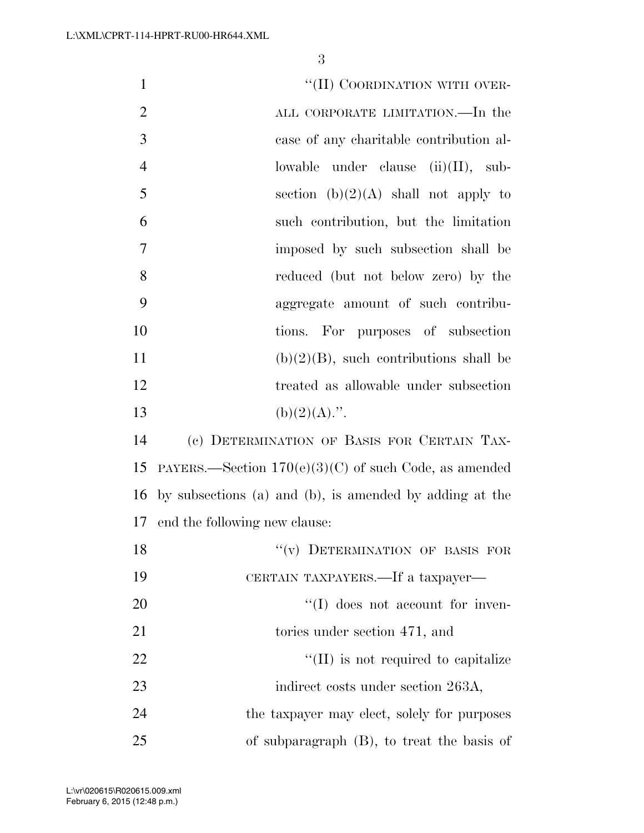| $\mathbf{1}$   | "(II) COORDINATION WITH OVER-                           |
|----------------|---------------------------------------------------------|
| $\overline{2}$ | ALL CORPORATE LIMITATION.—In the                        |
| 3              | case of any charitable contribution al-                 |
| $\overline{4}$ | lowable under clause $(ii)(II)$ , sub-                  |
| 5              | section $(b)(2)(A)$ shall not apply to                  |
| 6              | such contribution, but the limitation                   |
| 7              | imposed by such subsection shall be                     |
| 8              | reduced (but not below zero) by the                     |
| 9              | aggregate amount of such contribu-                      |
| 10             | tions. For purposes of subsection                       |
| 11             | $(b)(2)(B)$ , such contributions shall be               |
| 12             | treated as allowable under subsection                   |
| 13             | $(b)(2)(A)$ .".                                         |
| 14             | (c) DETERMINATION OF BASIS FOR CERTAIN TAX-             |
| 15             | PAYERS.—Section $170(e)(3)(C)$ of such Code, as amended |
| 16             | by subsections (a) and (b), is amended by adding at the |
| 17             | end the following new clause:                           |
| 18             | "(v) DETERMINATION OF BASIS FOR                         |
| 19             | CERTAIN TAXPAYERS.—If a taxpayer—                       |
| 20             | $\lq\lq$ (I) does not account for inven-                |
| 21             | tories under section 471, and                           |
| 22             | $\lq\lq$ (II) is not required to capitalize             |
| 23             | indirect costs under section 263A,                      |
| 24             | the taxpayer may elect, solely for purposes             |
| 25             | of subparagraph $(B)$ , to treat the basis of           |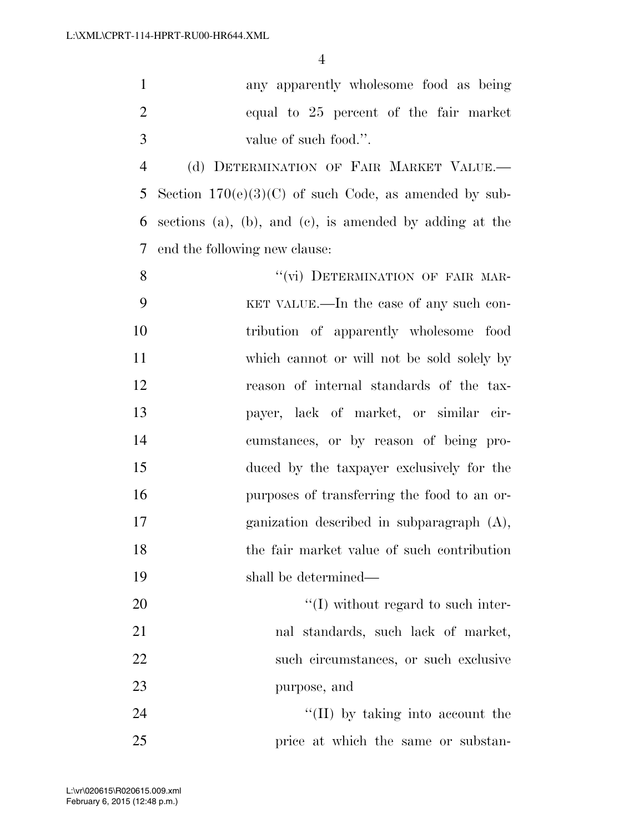any apparently wholesome food as being equal to 25 percent of the fair market value of such food.''.

 (d) DETERMINATION OF FAIR MARKET VALUE.— Section 170(e)(3)(C) of such Code, as amended by sub- sections (a), (b), and (c), is amended by adding at the end the following new clause:

8 "(vi) DETERMINATION OF FAIR MAR- KET VALUE.—In the case of any such con- tribution of apparently wholesome food which cannot or will not be sold solely by reason of internal standards of the tax- payer, lack of market, or similar cir- cumstances, or by reason of being pro- duced by the taxpayer exclusively for the purposes of transferring the food to an or- ganization described in subparagraph (A), the fair market value of such contribution shall be determined—  $\frac{1}{20}$  if thout regard to such inter-

 nal standards, such lack of market, such circumstances, or such exclusive purpose, and

24 ''(II) by taking into account the 25 price at which the same or substan-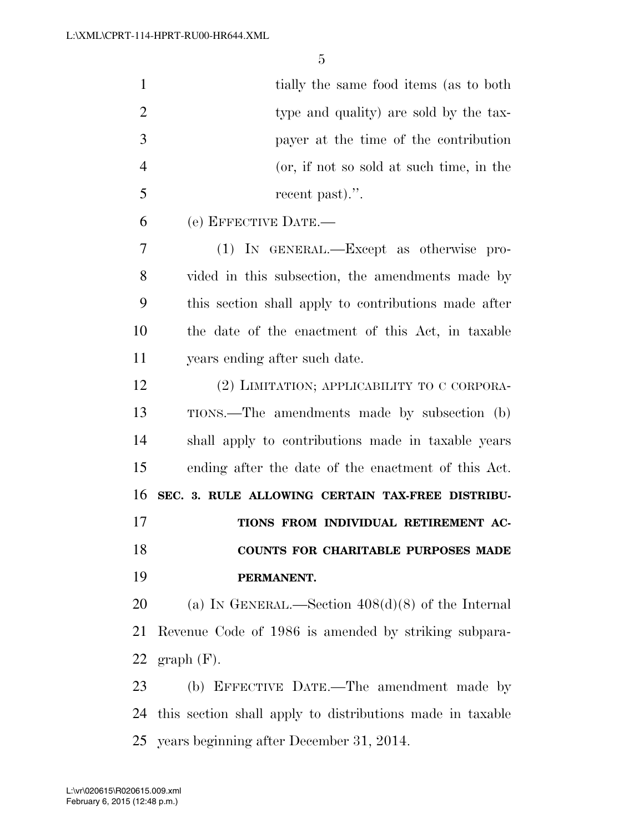| $\mathbf{1}$   | tially the same food items (as to both                       |
|----------------|--------------------------------------------------------------|
| $\overline{2}$ | type and quality) are sold by the tax-                       |
| 3              | payer at the time of the contribution                        |
| $\overline{4}$ | (or, if not so sold at such time, in the                     |
| 5              | recent past).".                                              |
| 6              | (e) EFFECTIVE DATE.-                                         |
| 7              | (1) IN GENERAL.—Except as otherwise pro-                     |
| 8              | vided in this subsection, the amendments made by             |
| 9              | this section shall apply to contributions made after         |
| 10             | the date of the enactment of this Act, in taxable            |
| 11             | years ending after such date.                                |
| 12             | (2) LIMITATION; APPLICABILITY TO C CORPORA-                  |
| 13             | TIONS.—The amendments made by subsection (b)                 |
| 14             | shall apply to contributions made in taxable years           |
| 15             | ending after the date of the enactment of this Act.          |
| 16             | SEC. 3. RULE ALLOWING CERTAIN TAX-FREE DISTRIBU-             |
| 17             | TIONS FROM INDIVIDUAL RETIREMENT AC-                         |
| 18             | COUNTS FOR CHARITABLE PURPOSES MADE                          |
| 19             | PERMANENT.                                                   |
| 20             | (a) IN GENERAL.—Section $408(d)(8)$ of the Internal          |
| 21             | Revenue Code of 1986 is amended by striking subpara-         |
| 22             | $graph(F)$ .                                                 |
| 23             | (b) EFFECTIVE DATE.—The amendment made by                    |
|                | 24 this section shall apply to distributions made in taxable |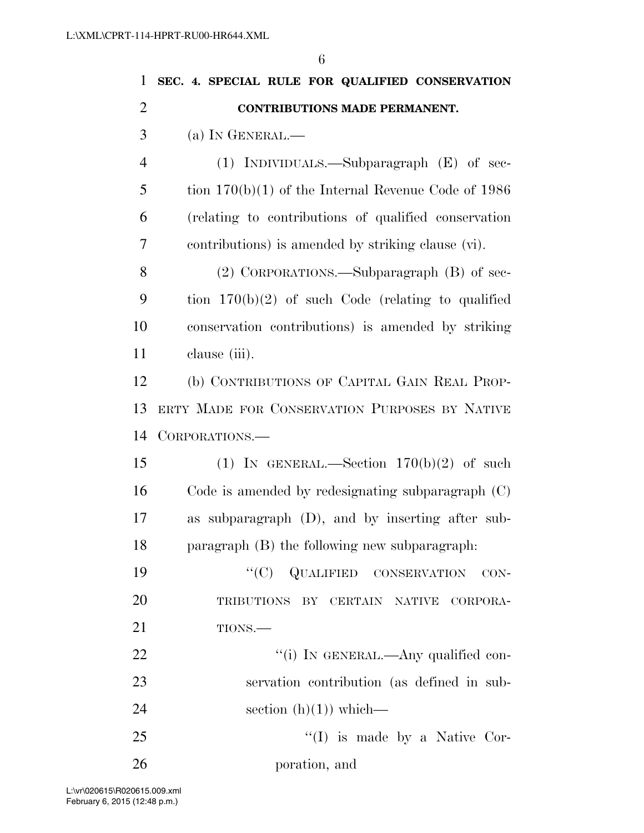| $\mathbf{1}$   | SEC. 4. SPECIAL RULE FOR QUALIFIED CONSERVATION       |
|----------------|-------------------------------------------------------|
| $\overline{2}$ | <b>CONTRIBUTIONS MADE PERMANENT.</b>                  |
| 3              | (a) IN GENERAL.—                                      |
| $\overline{4}$ | (1) INDIVIDUALS.—Subparagraph $(E)$ of sec-           |
| 5              | tion $170(b)(1)$ of the Internal Revenue Code of 1986 |
| 6              | (relating to contributions of qualified conservation) |
| 7              | contributions) is amended by striking clause (vi).    |
| 8              | (2) CORPORATIONS.—Subparagraph (B) of sec-            |
| 9              | tion $170(b)(2)$ of such Code (relating to qualified  |
| 10             | conservation contributions) is amended by striking    |
| 11             | clause (iii).                                         |
| 12             | (b) CONTRIBUTIONS OF CAPITAL GAIN REAL PROP-          |
| 13             | ERTY MADE FOR CONSERVATION PURPOSES BY NATIVE         |
| 14             | CORPORATIONS.                                         |
| 15             | (1) IN GENERAL.—Section $170(b)(2)$ of such           |
| 16             | Code is amended by redesignating subparagraph $(C)$   |
| 17             | subparagraph (D), and by inserting after sub-<br>as   |
| 18             | paragraph (B) the following new subparagraph.         |
| 19             | "(C) QUALIFIED CONSERVATION CON-                      |
| 20             | TRIBUTIONS BY CERTAIN NATIVE<br>CORPORA-              |
| 21             | TIONS.                                                |
| 22             | "(i) IN GENERAL.—Any qualified con-                   |
| 23             | servation contribution (as defined in sub-            |
| 24             | section $(h)(1)$ which—                               |
| 25             | $\lq\lq$ (I) is made by a Native Cor-                 |
|                |                                                       |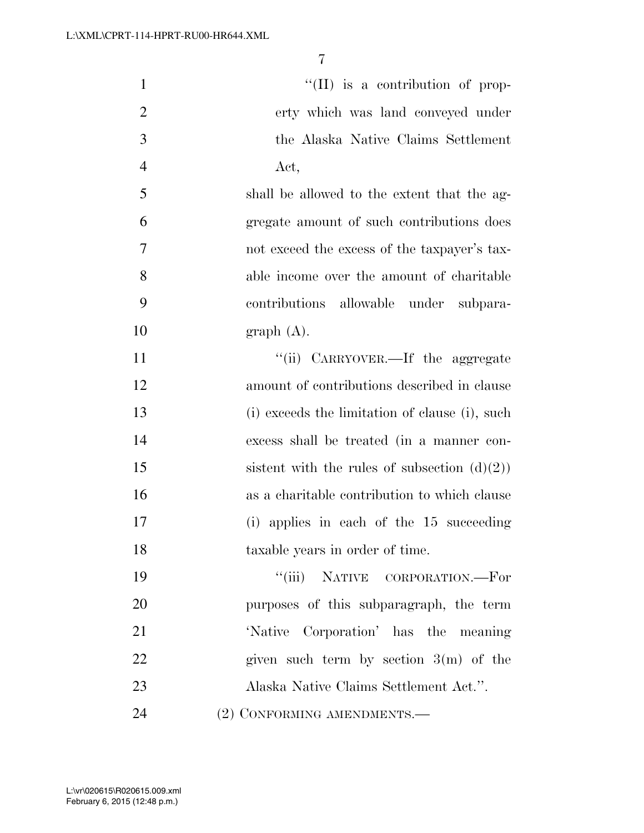| $\mathbf{1}$   | "(II) is a contribution of prop-                |
|----------------|-------------------------------------------------|
| $\overline{2}$ | erty which was land conveyed under              |
| 3              | the Alaska Native Claims Settlement             |
| $\overline{4}$ | Act,                                            |
| 5              | shall be allowed to the extent that the ag-     |
| 6              | gregate amount of such contributions does       |
| $\overline{7}$ | not exceed the excess of the taxpayer's tax-    |
| 8              | able income over the amount of charitable       |
| 9              | contributions allowable under subpara-          |
| 10             | graph(A).                                       |
| 11             | "(ii) CARRYOVER.—If the aggregate               |
| 12             | amount of contributions described in clause     |
| 13             | (i) exceeds the limitation of clause (i), such  |
| 14             | excess shall be treated (in a manner con-       |
| 15             | sistent with the rules of subsection $(d)(2)$ ) |
| 16             | as a charitable contribution to which clause    |
| 17             | (i) applies in each of the 15 succeeding        |
| 18             | taxable years in order of time.                 |
| 19             | "(iii) NATIVE CORPORATION.—For                  |
| 20             | purposes of this subparagraph, the term         |
| 21             | 'Native Corporation' has the meaning            |
| 22             | given such term by section $3(m)$ of the        |
| 23             | Alaska Native Claims Settlement Act.".          |
| 24             | (2) CONFORMING AMENDMENTS.-                     |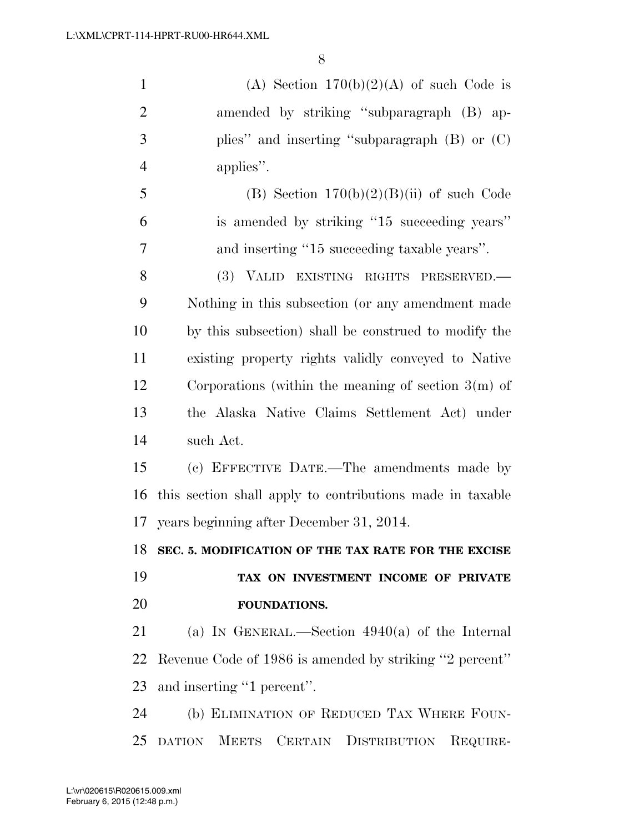1 (A) Section  $170(b)(2)(A)$  of such Code is amended by striking ''subparagraph (B) ap- plies'' and inserting ''subparagraph (B) or (C) applies''. 5 (B) Section  $170(b)(2)(B)(ii)$  of such Code is amended by striking ''15 succeeding years'' and inserting ''15 succeeding taxable years''. (3) VALID EXISTING RIGHTS PRESERVED.—

 Nothing in this subsection (or any amendment made by this subsection) shall be construed to modify the existing property rights validly conveyed to Native Corporations (within the meaning of section 3(m) of the Alaska Native Claims Settlement Act) under such Act.

 (c) EFFECTIVE DATE.—The amendments made by this section shall apply to contributions made in taxable years beginning after December 31, 2014.

**SEC. 5. MODIFICATION OF THE TAX RATE FOR THE EXCISE** 

# **TAX ON INVESTMENT INCOME OF PRIVATE FOUNDATIONS.**

 (a) IN GENERAL.—Section 4940(a) of the Internal Revenue Code of 1986 is amended by striking ''2 percent'' and inserting ''1 percent''.

 (b) ELIMINATION OF REDUCED TAX WHERE FOUN-DATION MEETS CERTAIN DISTRIBUTION REQUIRE-